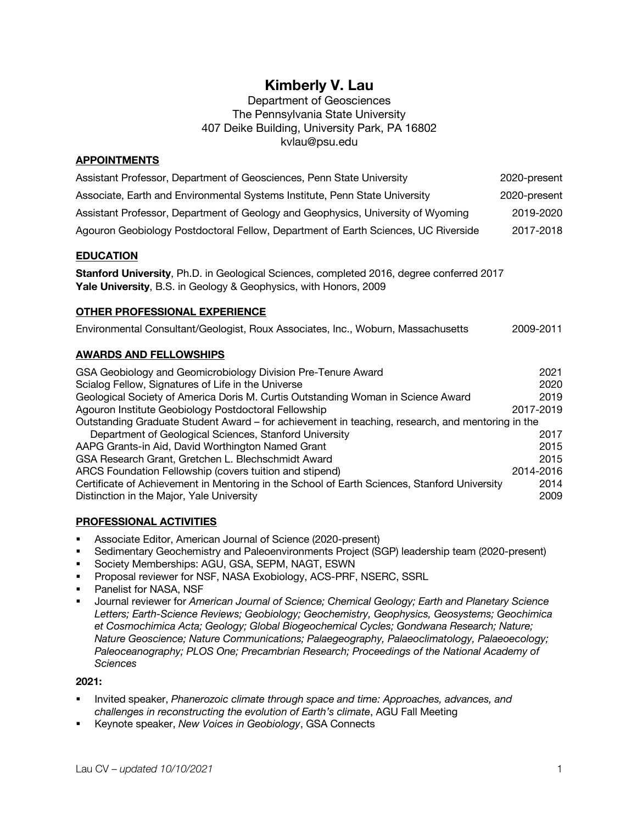# **Kimberly V. Lau**

Department of Geosciences The Pennsylvania State University 407 Deike Building, University Park, PA 16802 kvlau@psu.edu

# **APPOINTMENTS**

| Assistant Professor, Department of Geosciences, Penn State University              | 2020-present |
|------------------------------------------------------------------------------------|--------------|
| Associate, Earth and Environmental Systems Institute, Penn State University        | 2020-present |
| Assistant Professor, Department of Geology and Geophysics, University of Wyoming   | 2019-2020    |
| Agouron Geobiology Postdoctoral Fellow, Department of Earth Sciences, UC Riverside | 2017-2018    |

## **EDUCATION**

**Stanford University**, Ph.D. in Geological Sciences, completed 2016, degree conferred 2017 **Yale University**, B.S. in Geology & Geophysics, with Honors, 2009

## **OTHER PROFESSIONAL EXPERIENCE**

| Environmental Consultant/Geologist, Roux Associates, Inc., Woburn, Massachusetts | 2009-2011 |
|----------------------------------------------------------------------------------|-----------|
|----------------------------------------------------------------------------------|-----------|

## **AWARDS AND FELLOWSHIPS**

| GSA Geobiology and Geomicrobiology Division Pre-Tenure Award                                     | 2021      |  |
|--------------------------------------------------------------------------------------------------|-----------|--|
| Scialog Fellow, Signatures of Life in the Universe                                               | 2020      |  |
| Geological Society of America Doris M. Curtis Outstanding Woman in Science Award                 | 2019      |  |
| Agouron Institute Geobiology Postdoctoral Fellowship                                             | 2017-2019 |  |
| Outstanding Graduate Student Award – for achievement in teaching, research, and mentoring in the |           |  |
| Department of Geological Sciences, Stanford University                                           | 2017      |  |
| AAPG Grants-in Aid, David Worthington Named Grant                                                | 2015      |  |
| GSA Research Grant, Gretchen L. Blechschmidt Award                                               | 2015      |  |
| ARCS Foundation Fellowship (covers tuition and stipend)                                          | 2014-2016 |  |
| Certificate of Achievement in Mentoring in the School of Earth Sciences, Stanford University     | 2014      |  |
| Distinction in the Major, Yale University                                                        | 2009      |  |

## **PROFESSIONAL ACTIVITIES**

- Associate Editor, American Journal of Science (2020-present)
- § Sedimentary Geochemistry and Paleoenvironments Project (SGP) leadership team (2020-present)
- Society Memberships: AGU, GSA, SEPM, NAGT, ESWN
- § Proposal reviewer for NSF, NASA Exobiology, ACS-PRF, NSERC, SSRL
- Panelist for NASA, NSF
- § Journal reviewer for *American Journal of Science; Chemical Geology; Earth and Planetary Science Letters; Earth-Science Reviews; Geobiology; Geochemistry, Geophysics, Geosystems; Geochimica et Cosmochimica Acta; Geology; Global Biogeochemical Cycles; Gondwana Research; Nature; Nature Geoscience; Nature Communications; Palaegeography, Palaeoclimatology, Palaeoecology; Paleoceanography; PLOS One; Precambrian Research; Proceedings of the National Academy of Sciences*

#### **2021:**

- § Invited speaker, *Phanerozoic climate through space and time: Approaches, advances, and challenges in reconstructing the evolution of Earth's climate*, AGU Fall Meeting
- § Keynote speaker, *New Voices in Geobiology*, GSA Connects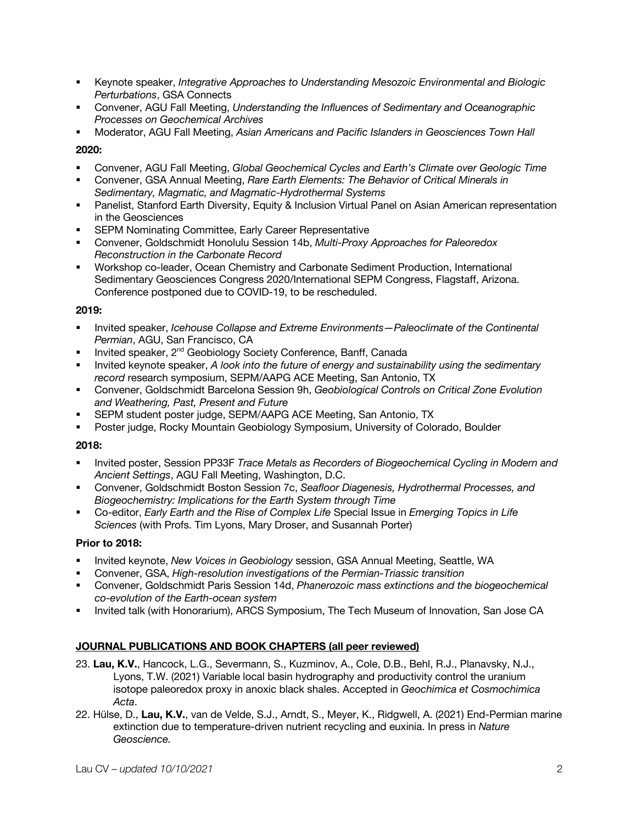- § Keynote speaker, *Integrative Approaches to Understanding Mesozoic Environmental and Biologic Perturbations*, GSA Connects
- § Convener, AGU Fall Meeting, *Understanding the Influences of Sedimentary and Oceanographic Processes on Geochemical Archives*
- § Moderator, AGU Fall Meeting, *Asian Americans and Pacific Islanders in Geosciences Town Hall*

## **2020:**

- § Convener, AGU Fall Meeting, *Global Geochemical Cycles and Earth's Climate over Geologic Time*
- § Convener, GSA Annual Meeting, *Rare Earth Elements: The Behavior of Critical Minerals in Sedimentary, Magmatic, and Magmatic-Hydrothermal Systems*
- Panelist, Stanford Earth Diversity, Equity & Inclusion Virtual Panel on Asian American representation in the Geosciences
- SEPM Nominating Committee, Early Career Representative
- § Convener, Goldschmidt Honolulu Session 14b, *Multi-Proxy Approaches for Paleoredox Reconstruction in the Carbonate Record*
- § Workshop co-leader, Ocean Chemistry and Carbonate Sediment Production, International Sedimentary Geosciences Congress 2020/International SEPM Congress, Flagstaff, Arizona. Conference postponed due to COVID-19, to be rescheduled.

# **2019:**

- § Invited speaker, *Icehouse Collapse and Extreme Environments—Paleoclimate of the Continental Permian*, AGU, San Francisco, CA
- Invited speaker, 2<sup>nd</sup> Geobiology Society Conference, Banff, Canada
- § Invited keynote speaker, *A look into the future of energy and sustainability using the sedimentary record* research symposium, SEPM/AAPG ACE Meeting, San Antonio, TX
- § Convener, Goldschmidt Barcelona Session 9h, *Geobiological Controls on Critical Zone Evolution and Weathering, Past, Present and Future*
- § SEPM student poster judge, SEPM/AAPG ACE Meeting, San Antonio, TX
- § Poster judge, Rocky Mountain Geobiology Symposium, University of Colorado, Boulder

## **2018:**

- § Invited poster, Session PP33F *Trace Metals as Recorders of Biogeochemical Cycling in Modern and Ancient Settings*, AGU Fall Meeting, Washington, D.C.
- § Convener, Goldschmidt Boston Session 7c, *Seafloor Diagenesis, Hydrothermal Processes, and Biogeochemistry: Implications for the Earth System through Time*
- § Co-editor, *Early Earth and the Rise of Complex Life* Special Issue in *Emerging Topics in Life Sciences* (with Profs. Tim Lyons, Mary Droser, and Susannah Porter)

# **Prior to 2018:**

- **■** Invited keynote, *New Voices in Geobiology* session, GSA Annual Meeting, Seattle, WA
- § Convener, GSA, *High-resolution investigations of the Permian-Triassic transition*
- § Convener, Goldschmidt Paris Session 14d, *Phanerozoic mass extinctions and the biogeochemical co-evolution of the Earth-ocean system*
- § Invited talk (with Honorarium), ARCS Symposium, The Tech Museum of Innovation, San Jose CA

# **JOURNAL PUBLICATIONS AND BOOK CHAPTERS (all peer reviewed)**

- 23. **Lau, K.V.**, Hancock, L.G., Severmann, S., Kuzminov, A., Cole, D.B., Behl, R.J., Planavsky, N.J., Lyons, T.W. (2021) Variable local basin hydrography and productivity control the uranium isotope paleoredox proxy in anoxic black shales. Accepted in *Geochimica et Cosmochimica Acta*.
- 22. Hülse, D., **Lau, K.V.**, van de Velde, S.J., Arndt, S., Meyer, K., Ridgwell, A. (2021) End-Permian marine extinction due to temperature-driven nutrient recycling and euxinia. In press in *Nature Geoscience.*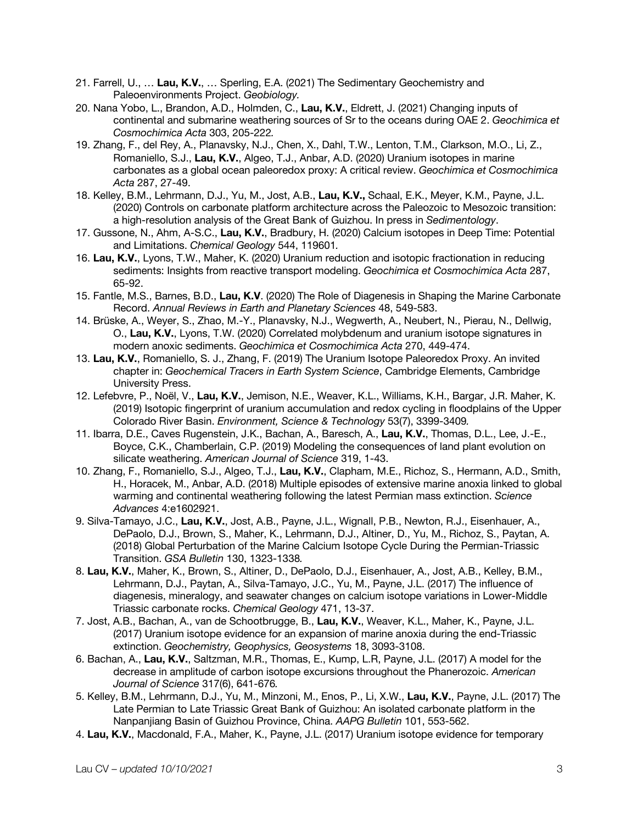- 21. Farrell, U., … **Lau, K.V.**, … Sperling, E.A. (2021) The Sedimentary Geochemistry and Paleoenvironments Project. *Geobiology.*
- 20. Nana Yobo, L., Brandon, A.D., Holmden, C., **Lau, K.V.**, Eldrett, J. (2021) Changing inputs of continental and submarine weathering sources of Sr to the oceans during OAE 2. *Geochimica et Cosmochimica Acta* 303, 205-222*.*
- 19. Zhang, F., del Rey, A., Planavsky, N.J., Chen, X., Dahl, T.W., Lenton, T.M., Clarkson, M.O., Li, Z., Romaniello, S.J., **Lau, K.V.**, Algeo, T.J., Anbar, A.D. (2020) Uranium isotopes in marine carbonates as a global ocean paleoredox proxy: A critical review. *Geochimica et Cosmochimica Acta* 287, 27-49.
- 18. Kelley, B.M., Lehrmann, D.J., Yu, M., Jost, A.B., **Lau, K.V.,** Schaal, E.K., Meyer, K.M., Payne, J.L. (2020) Controls on carbonate platform architecture across the Paleozoic to Mesozoic transition: a high-resolution analysis of the Great Bank of Guizhou. In press in *Sedimentology*.
- 17. Gussone, N., Ahm, A-S.C., **Lau, K.V.**, Bradbury, H. (2020) Calcium isotopes in Deep Time: Potential and Limitations. *Chemical Geology* 544, 119601*.*
- 16. **Lau, K.V.**, Lyons, T.W., Maher, K. (2020) Uranium reduction and isotopic fractionation in reducing sediments: Insights from reactive transport modeling. *Geochimica et Cosmochimica Acta* 287, 65-92.
- 15. Fantle, M.S., Barnes, B.D., **Lau, K.V**. (2020) The Role of Diagenesis in Shaping the Marine Carbonate Record. *Annual Reviews in Earth and Planetary Sciences* 48, 549-583.
- 14. Brüske, A., Weyer, S., Zhao, M.-Y., Planavsky, N.J., Wegwerth, A., Neubert, N., Pierau, N., Dellwig, O., **Lau, K.V.**, Lyons, T.W. (2020) Correlated molybdenum and uranium isotope signatures in modern anoxic sediments. *Geochimica et Cosmochimica Acta* 270, 449-474.
- 13. **Lau, K.V.**, Romaniello, S. J., Zhang, F. (2019) The Uranium Isotope Paleoredox Proxy. An invited chapter in: *Geochemical Tracers in Earth System Science*, Cambridge Elements, Cambridge University Press.
- 12. Lefebvre, P., Noël, V., **Lau, K.V.**, Jemison, N.E., Weaver, K.L., Williams, K.H., Bargar, J.R. Maher, K. (2019) Isotopic fingerprint of uranium accumulation and redox cycling in floodplains of the Upper Colorado River Basin. *Environment, Science & Technology* 53(7), 3399-3409*.*
- 11. Ibarra, D.E., Caves Rugenstein, J.K., Bachan, A., Baresch, A., **Lau, K.V.**, Thomas, D.L., Lee, J.-E., Boyce, C.K., Chamberlain, C.P. (2019) Modeling the consequences of land plant evolution on silicate weathering. *American Journal of Science* 319, 1-43.
- 10. Zhang, F., Romaniello, S.J., Algeo, T.J., **Lau, K.V.**, Clapham, M.E., Richoz, S., Hermann, A.D., Smith, H., Horacek, M., Anbar, A.D. (2018) Multiple episodes of extensive marine anoxia linked to global warming and continental weathering following the latest Permian mass extinction. *Science Advances* 4:e1602921.
- 9. Silva-Tamayo, J.C., **Lau, K.V.**, Jost, A.B., Payne, J.L., Wignall, P.B., Newton, R.J., Eisenhauer, A., DePaolo, D.J., Brown, S., Maher, K., Lehrmann, D.J., Altiner, D., Yu, M., Richoz, S., Paytan, A. (2018) Global Perturbation of the Marine Calcium Isotope Cycle During the Permian-Triassic Transition. *GSA Bulletin* 130, 1323-1338*.*
- 8. **Lau, K.V.**, Maher, K., Brown, S., Altiner, D., DePaolo, D.J., Eisenhauer, A., Jost, A.B., Kelley, B.M., Lehrmann, D.J., Paytan, A., Silva-Tamayo, J.C., Yu, M., Payne, J.L. (2017) The influence of diagenesis, mineralogy, and seawater changes on calcium isotope variations in Lower-Middle Triassic carbonate rocks. *Chemical Geology* 471, 13-37.
- 7. Jost, A.B., Bachan, A., van de Schootbrugge, B., **Lau, K.V.**, Weaver, K.L., Maher, K., Payne, J.L. (2017) Uranium isotope evidence for an expansion of marine anoxia during the end-Triassic extinction. *Geochemistry, Geophysics, Geosystems* 18, 3093-3108.
- 6. Bachan, A., **Lau, K.V.**, Saltzman, M.R., Thomas, E., Kump, L.R, Payne, J.L. (2017) A model for the decrease in amplitude of carbon isotope excursions throughout the Phanerozoic. *American Journal of Science* 317(6), 641-676*.*
- 5. Kelley, B.M., Lehrmann, D.J., Yu, M., Minzoni, M., Enos, P., Li, X.W., **Lau, K.V.**, Payne, J.L. (2017) The Late Permian to Late Triassic Great Bank of Guizhou: An isolated carbonate platform in the Nanpanjiang Basin of Guizhou Province, China. *AAPG Bulletin* 101, 553-562.
- 4. **Lau, K.V.**, Macdonald, F.A., Maher, K., Payne, J.L. (2017) Uranium isotope evidence for temporary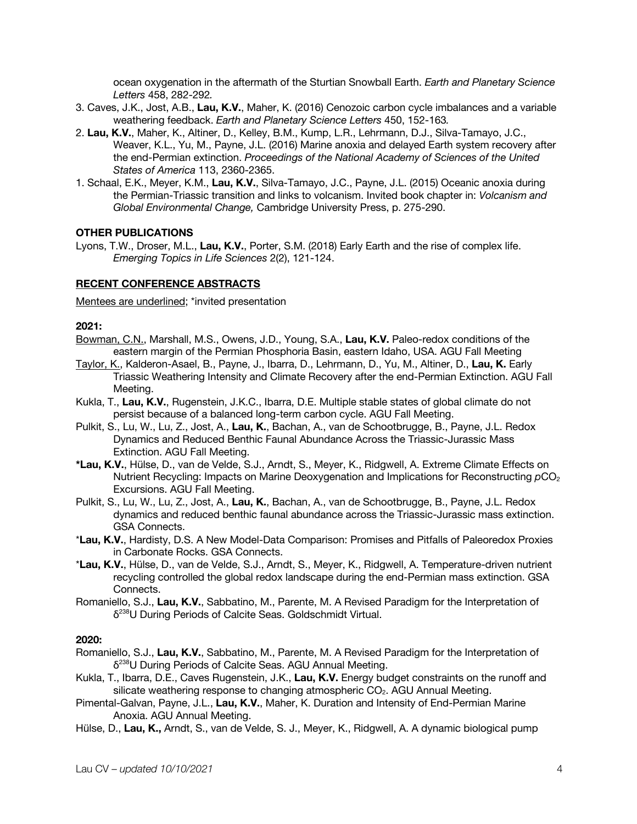ocean oxygenation in the aftermath of the Sturtian Snowball Earth. *Earth and Planetary Science Letters* 458, 282-292*.*

- 3. Caves, J.K., Jost, A.B., **Lau, K.V.**, Maher, K. (2016) Cenozoic carbon cycle imbalances and a variable weathering feedback. *Earth and Planetary Science Letters* 450, 152-163*.*
- 2. **Lau, K.V.**, Maher, K., Altiner, D., Kelley, B.M., Kump, L.R., Lehrmann, D.J., Silva-Tamayo, J.C., Weaver, K.L., Yu, M., Payne, J.L. (2016) Marine anoxia and delayed Earth system recovery after the end-Permian extinction. *Proceedings of the National Academy of Sciences of the United States of America* 113, 2360-2365.
- 1. Schaal, E.K., Meyer, K.M., **Lau, K.V.**, Silva-Tamayo, J.C., Payne, J.L. (2015) Oceanic anoxia during the Permian-Triassic transition and links to volcanism. Invited book chapter in: *Volcanism and Global Environmental Change,* Cambridge University Press, p. 275-290.

#### **OTHER PUBLICATIONS**

Lyons, T.W., Droser, M.L., **Lau, K.V.**, Porter, S.M. (2018) Early Earth and the rise of complex life. *Emerging Topics in Life Sciences* 2(2), 121-124.

#### **RECENT CONFERENCE ABSTRACTS**

Mentees are underlined; \*invited presentation

#### **2021:**

- Bowman, C.N., Marshall, M.S., Owens, J.D., Young, S.A., **Lau, K.V.** Paleo-redox conditions of the eastern margin of the Permian Phosphoria Basin, eastern Idaho, USA. AGU Fall Meeting
- Taylor, K., Kalderon-Asael, B., Payne, J., Ibarra, D., Lehrmann, D., Yu, M., Altiner, D., **Lau, K.** Early Triassic Weathering Intensity and Climate Recovery after the end-Permian Extinction. AGU Fall Meeting.
- Kukla, T., **Lau, K.V.**, Rugenstein, J.K.C., Ibarra, D.E. Multiple stable states of global climate do not persist because of a balanced long-term carbon cycle. AGU Fall Meeting.
- Pulkit, S., Lu, W., Lu, Z., Jost, A., **Lau, K.**, Bachan, A., van de Schootbrugge, B., Payne, J.L. Redox Dynamics and Reduced Benthic Faunal Abundance Across the Triassic-Jurassic Mass Extinction. AGU Fall Meeting.
- **\*Lau, K.V.**, Hülse, D., van de Velde, S.J., Arndt, S., Meyer, K., Ridgwell, A. Extreme Climate Effects on Nutrient Recycling: Impacts on Marine Deoxygenation and Implications for Reconstructing  $pCO<sub>2</sub>$ Excursions. AGU Fall Meeting.
- Pulkit, S., Lu, W., Lu, Z., Jost, A., **Lau, K.**, Bachan, A., van de Schootbrugge, B., Payne, J.L. Redox dynamics and reduced benthic faunal abundance across the Triassic-Jurassic mass extinction. GSA Connects.
- \***Lau, K.V.**, Hardisty, D.S. A New Model-Data Comparison: Promises and Pitfalls of Paleoredox Proxies in Carbonate Rocks. GSA Connects.
- \***Lau, K.V.**, Hülse, D., van de Velde, S.J., Arndt, S., Meyer, K., Ridgwell, A. Temperature-driven nutrient recycling controlled the global redox landscape during the end-Permian mass extinction. GSA Connects.
- Romaniello, S.J., **Lau, K.V.**, Sabbatino, M., Parente, M. A Revised Paradigm for the Interpretation of δ238U During Periods of Calcite Seas. Goldschmidt Virtual.

#### **2020:**

- Romaniello, S.J., **Lau, K.V.**, Sabbatino, M., Parente, M. A Revised Paradigm for the Interpretation of δ238U During Periods of Calcite Seas. AGU Annual Meeting.
- Kukla, T., Ibarra, D.E., Caves Rugenstein, J.K., **Lau, K.V.** Energy budget constraints on the runoff and silicate weathering response to changing atmospheric CO<sub>2</sub>. AGU Annual Meeting.
- Pimental-Galvan, Payne, J.L., **Lau, K.V.**, Maher, K. Duration and Intensity of End-Permian Marine Anoxia. AGU Annual Meeting.
- Hülse, D., **Lau, K.,** Arndt, S., van de Velde, S. J., Meyer, K., Ridgwell, A. A dynamic biological pump